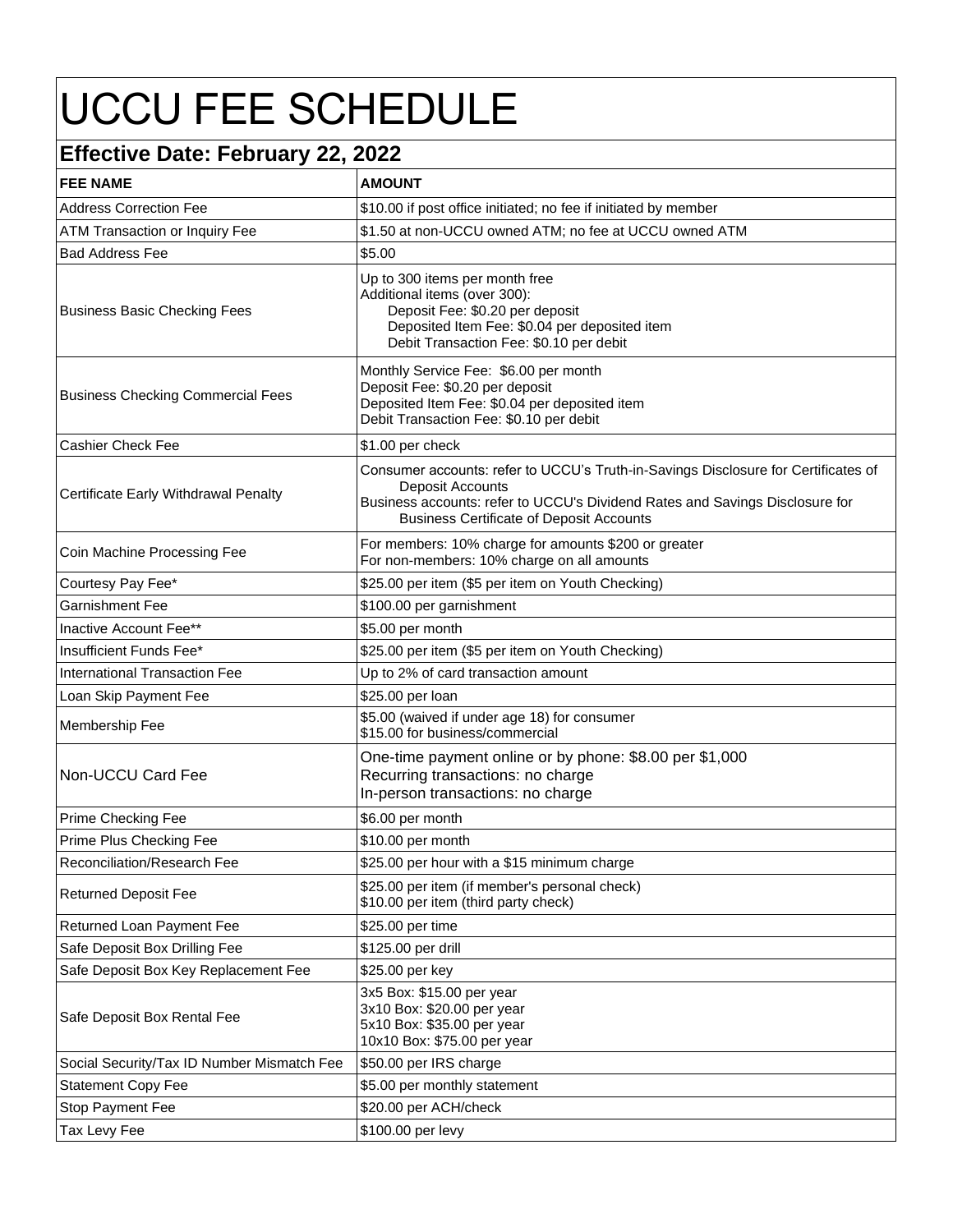## UCCU FEE SCHEDULE

## **Effective Date: February 22, 2022**

| <b>AMOUNT</b>                                                                                                                                                                                                                             |
|-------------------------------------------------------------------------------------------------------------------------------------------------------------------------------------------------------------------------------------------|
| \$10.00 if post office initiated; no fee if initiated by member                                                                                                                                                                           |
| \$1.50 at non-UCCU owned ATM; no fee at UCCU owned ATM                                                                                                                                                                                    |
| \$5.00                                                                                                                                                                                                                                    |
| Up to 300 items per month free<br>Additional items (over 300):<br>Deposit Fee: \$0.20 per deposit<br>Deposited Item Fee: \$0.04 per deposited item<br>Debit Transaction Fee: \$0.10 per debit                                             |
| Monthly Service Fee: \$6.00 per month<br>Deposit Fee: \$0.20 per deposit<br>Deposited Item Fee: \$0.04 per deposited item<br>Debit Transaction Fee: \$0.10 per debit                                                                      |
| \$1.00 per check                                                                                                                                                                                                                          |
| Consumer accounts: refer to UCCU's Truth-in-Savings Disclosure for Certificates of<br>Deposit Accounts<br>Business accounts: refer to UCCU's Dividend Rates and Savings Disclosure for<br><b>Business Certificate of Deposit Accounts</b> |
| For members: 10% charge for amounts \$200 or greater<br>For non-members: 10% charge on all amounts                                                                                                                                        |
| \$25.00 per item (\$5 per item on Youth Checking)                                                                                                                                                                                         |
| \$100.00 per garnishment                                                                                                                                                                                                                  |
| \$5.00 per month                                                                                                                                                                                                                          |
| \$25.00 per item (\$5 per item on Youth Checking)                                                                                                                                                                                         |
| Up to 2% of card transaction amount                                                                                                                                                                                                       |
| \$25.00 per loan                                                                                                                                                                                                                          |
| \$5.00 (waived if under age 18) for consumer<br>\$15.00 for business/commercial                                                                                                                                                           |
| One-time payment online or by phone: \$8.00 per \$1,000<br>Recurring transactions: no charge<br>In-person transactions: no charge                                                                                                         |
| \$6.00 per month                                                                                                                                                                                                                          |
| \$10.00 per month                                                                                                                                                                                                                         |
| \$25.00 per hour with a \$15 minimum charge                                                                                                                                                                                               |
| \$25.00 per item (if member's personal check)<br>\$10.00 per item (third party check)                                                                                                                                                     |
| \$25.00 per time                                                                                                                                                                                                                          |
| \$125.00 per drill                                                                                                                                                                                                                        |
| \$25.00 per key                                                                                                                                                                                                                           |
| 3x5 Box: \$15.00 per year<br>3x10 Box: \$20.00 per year<br>5x10 Box: \$35.00 per year<br>10x10 Box: \$75.00 per year                                                                                                                      |
| \$50.00 per IRS charge                                                                                                                                                                                                                    |
| \$5.00 per monthly statement                                                                                                                                                                                                              |
| \$20.00 per ACH/check                                                                                                                                                                                                                     |
| \$100.00 per levy                                                                                                                                                                                                                         |
|                                                                                                                                                                                                                                           |